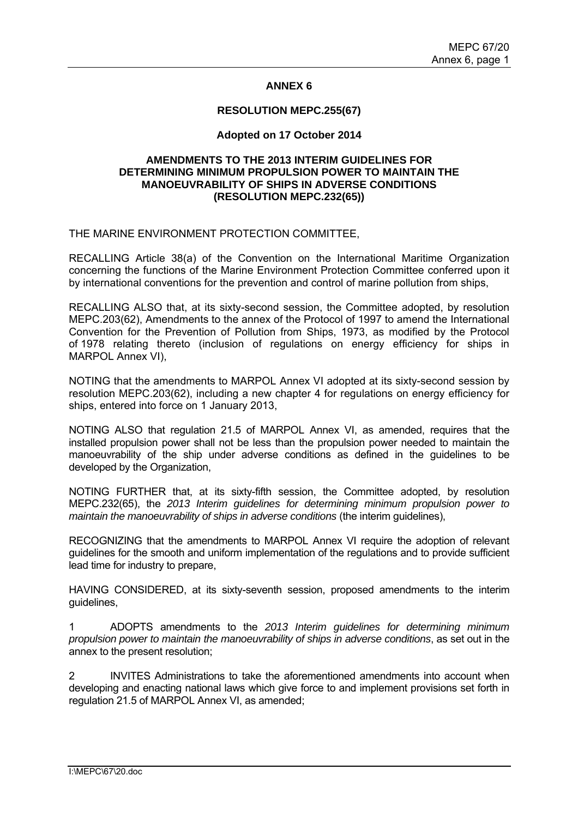# **ANNEX 6**

### **RESOLUTION MEPC.255(67)**

# **Adopted on 17 October 2014**

# **AMENDMENTS TO THE 2013 INTERIM GUIDELINES FOR DETERMINING MINIMUM PROPULSION POWER TO MAINTAIN THE MANOEUVRABILITY OF SHIPS IN ADVERSE CONDITIONS (RESOLUTION MEPC.232(65))**

# THE MARINE ENVIRONMENT PROTECTION COMMITTEE,

RECALLING Article 38(a) of the Convention on the International Maritime Organization concerning the functions of the Marine Environment Protection Committee conferred upon it by international conventions for the prevention and control of marine pollution from ships,

RECALLING ALSO that, at its sixty-second session, the Committee adopted, by resolution MEPC.203(62), Amendments to the annex of the Protocol of 1997 to amend the International Convention for the Prevention of Pollution from Ships, 1973, as modified by the Protocol of 1978 relating thereto (inclusion of regulations on energy efficiency for ships in MARPOL Annex VI),

NOTING that the amendments to MARPOL Annex VI adopted at its sixty-second session by resolution MEPC.203(62), including a new chapter 4 for regulations on energy efficiency for ships, entered into force on 1 January 2013,

NOTING ALSO that regulation 21.5 of MARPOL Annex VI, as amended, requires that the installed propulsion power shall not be less than the propulsion power needed to maintain the manoeuvrability of the ship under adverse conditions as defined in the guidelines to be developed by the Organization,

NOTING FURTHER that, at its sixty-fifth session, the Committee adopted, by resolution MEPC.232(65), the *2013 Interim guidelines for determining minimum propulsion power to maintain the manoeuvrability of ships in adverse conditions* (the interim guidelines),

RECOGNIZING that the amendments to MARPOL Annex VI require the adoption of relevant guidelines for the smooth and uniform implementation of the regulations and to provide sufficient lead time for industry to prepare,

HAVING CONSIDERED, at its sixty-seventh session, proposed amendments to the interim guidelines,

1 ADOPTS amendments to the *2013 Interim guidelines for determining minimum propulsion power to maintain the manoeuvrability of ships in adverse conditions*, as set out in the annex to the present resolution;

2 INVITES Administrations to take the aforementioned amendments into account when developing and enacting national laws which give force to and implement provisions set forth in regulation 21.5 of MARPOL Annex VI, as amended;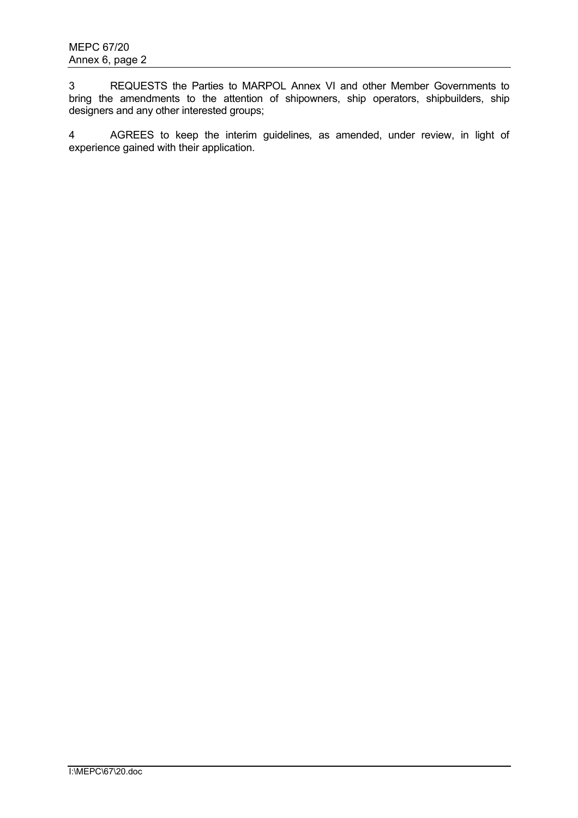3 REQUESTS the Parties to MARPOL Annex VI and other Member Governments to bring the amendments to the attention of shipowners, ship operators, shipbuilders, ship designers and any other interested groups;

4 AGREES to keep the interim guidelines*,* as amended, under review, in light of experience gained with their application.